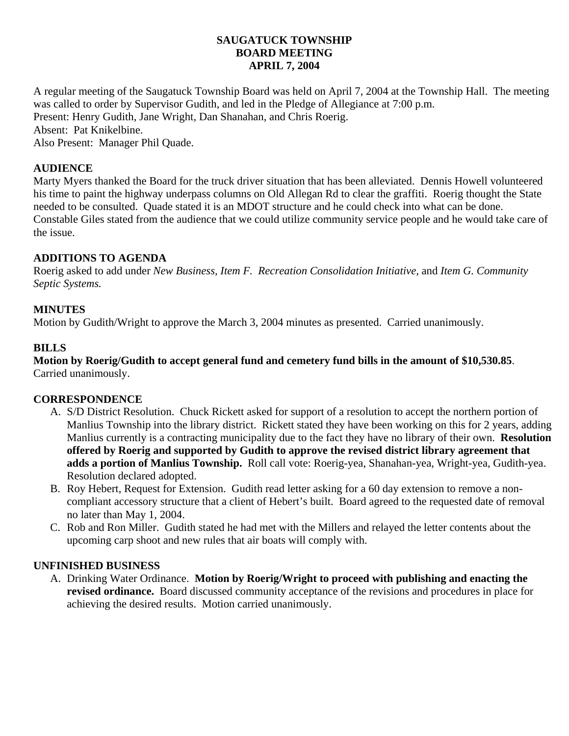### **SAUGATUCK TOWNSHIP BOARD MEETING APRIL 7, 2004**

A regular meeting of the Saugatuck Township Board was held on April 7, 2004 at the Township Hall. The meeting was called to order by Supervisor Gudith, and led in the Pledge of Allegiance at 7:00 p.m. Present: Henry Gudith, Jane Wright, Dan Shanahan, and Chris Roerig. Absent: Pat Knikelbine. Also Present: Manager Phil Quade.

# **AUDIENCE**

Marty Myers thanked the Board for the truck driver situation that has been alleviated. Dennis Howell volunteered his time to paint the highway underpass columns on Old Allegan Rd to clear the graffiti. Roerig thought the State needed to be consulted. Quade stated it is an MDOT structure and he could check into what can be done. Constable Giles stated from the audience that we could utilize community service people and he would take care of the issue.

## **ADDITIONS TO AGENDA**

Roerig asked to add under *New Business, Item F. Recreation Consolidation Initiative,* and *Item G. Community Septic Systems.*

## **MINUTES**

Motion by Gudith/Wright to approve the March 3, 2004 minutes as presented. Carried unanimously.

### **BILLS**

**Motion by Roerig/Gudith to accept general fund and cemetery fund bills in the amount of \$10,530.85**. Carried unanimously.

### **CORRESPONDENCE**

- A. S/D District Resolution. Chuck Rickett asked for support of a resolution to accept the northern portion of Manlius Township into the library district. Rickett stated they have been working on this for 2 years, adding Manlius currently is a contracting municipality due to the fact they have no library of their own. **Resolution offered by Roerig and supported by Gudith to approve the revised district library agreement that adds a portion of Manlius Township.** Roll call vote: Roerig-yea, Shanahan-yea, Wright-yea, Gudith-yea. Resolution declared adopted.
- B. Roy Hebert, Request for Extension. Gudith read letter asking for a 60 day extension to remove a noncompliant accessory structure that a client of Hebert's built. Board agreed to the requested date of removal no later than May 1, 2004.
- C. Rob and Ron Miller. Gudith stated he had met with the Millers and relayed the letter contents about the upcoming carp shoot and new rules that air boats will comply with.

### **UNFINISHED BUSINESS**

A. Drinking Water Ordinance. **Motion by Roerig/Wright to proceed with publishing and enacting the revised ordinance.** Board discussed community acceptance of the revisions and procedures in place for achieving the desired results. Motion carried unanimously.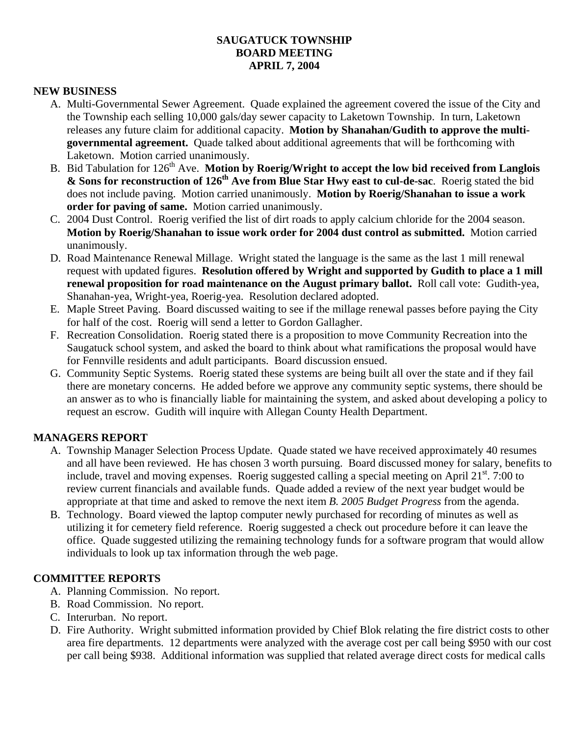### **SAUGATUCK TOWNSHIP BOARD MEETING APRIL 7, 2004**

#### **NEW BUSINESS**

- A. Multi-Governmental Sewer Agreement. Quade explained the agreement covered the issue of the City and the Township each selling 10,000 gals/day sewer capacity to Laketown Township. In turn, Laketown releases any future claim for additional capacity. **Motion by Shanahan/Gudith to approve the multigovernmental agreement.** Quade talked about additional agreements that will be forthcoming with Laketown. Motion carried unanimously.
- B. Bid Tabulation for 126th Ave. **Motion by Roerig/Wright to accept the low bid received from Langlois & Sons for reconstruction of 126th Ave from Blue Star Hwy east to cul-de-sac**. Roerig stated the bid does not include paving. Motion carried unanimously. **Motion by Roerig/Shanahan to issue a work order for paving of same.** Motion carried unanimously.
- C. 2004 Dust Control. Roerig verified the list of dirt roads to apply calcium chloride for the 2004 season. **Motion by Roerig/Shanahan to issue work order for 2004 dust control as submitted.** Motion carried unanimously.
- D. Road Maintenance Renewal Millage. Wright stated the language is the same as the last 1 mill renewal request with updated figures. **Resolution offered by Wright and supported by Gudith to place a 1 mill renewal proposition for road maintenance on the August primary ballot.** Roll call vote: Gudith-yea, Shanahan-yea, Wright-yea, Roerig-yea. Resolution declared adopted.
- E. Maple Street Paving. Board discussed waiting to see if the millage renewal passes before paying the City for half of the cost. Roerig will send a letter to Gordon Gallagher.
- F. Recreation Consolidation. Roerig stated there is a proposition to move Community Recreation into the Saugatuck school system, and asked the board to think about what ramifications the proposal would have for Fennville residents and adult participants. Board discussion ensued.
- G. Community Septic Systems. Roerig stated these systems are being built all over the state and if they fail there are monetary concerns. He added before we approve any community septic systems, there should be an answer as to who is financially liable for maintaining the system, and asked about developing a policy to request an escrow. Gudith will inquire with Allegan County Health Department.

### **MANAGERS REPORT**

- A. Township Manager Selection Process Update. Quade stated we have received approximately 40 resumes and all have been reviewed. He has chosen 3 worth pursuing. Board discussed money for salary, benefits to include, travel and moving expenses. Roerig suggested calling a special meeting on April 21<sup>st</sup>. 7:00 to review current financials and available funds. Quade added a review of the next year budget would be appropriate at that time and asked to remove the next item *B. 2005 Budget Progress* from the agenda.
- B. Technology. Board viewed the laptop computer newly purchased for recording of minutes as well as utilizing it for cemetery field reference. Roerig suggested a check out procedure before it can leave the office. Quade suggested utilizing the remaining technology funds for a software program that would allow individuals to look up tax information through the web page.

#### **COMMITTEE REPORTS**

- A. Planning Commission. No report.
- B. Road Commission. No report.
- C. Interurban. No report.
- D. Fire Authority. Wright submitted information provided by Chief Blok relating the fire district costs to other area fire departments. 12 departments were analyzed with the average cost per call being \$950 with our cost per call being \$938. Additional information was supplied that related average direct costs for medical calls